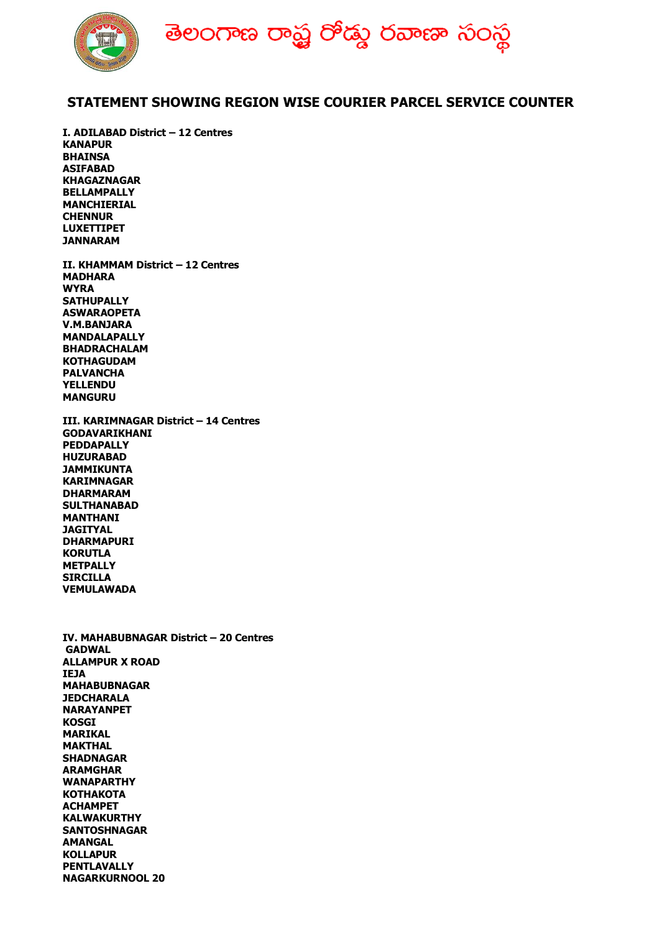

## **STATEMENT SHOWING REGION WISE COURIER PARCEL SERVICE COUNTER**

**I. ADILABAD District – 12 Centres KANAPUR BHAINSA ASIFABAD KHAGAZNAGAR BELLAMPALLY MANCHIERIAL CHENNUR LUXETTIPET JANNARAM**

**II. KHAMMAM District – 12 Centres MADHARA WYRA SATHUPALLY ASWARAOPETA V.M.BANJARA MANDALAPALLY BHADRACHALAM KOTHAGUDAM PALVANCHA YELLENDU MANGURU**

**III. KARIMNAGAR District – 14 Centres GODAVARIKHANI PEDDAPALLY HUZURABAD JAMMIKUNTA KARIMNAGAR DHARMARAM SULTHANABAD MANTHANI JAGITYAL DHARMAPURI KORUTLA METPALLY SIRCILLA VEMULAWADA**

**IV. MAHABUBNAGAR District – 20 Centres GADWAL ALLAMPUR X ROAD IEJA MAHABUBNAGAR JEDCHARALA NARAYANPET KOSGI MARIKAL MAKTHAL SHADNAGAR ARAMGHAR WANAPARTHY KOTHAKOTA ACHAMPET KALWAKURTHY SANTOSHNAGAR AMANGAL KOLLAPUR PENTLAVALLY NAGARKURNOOL 20**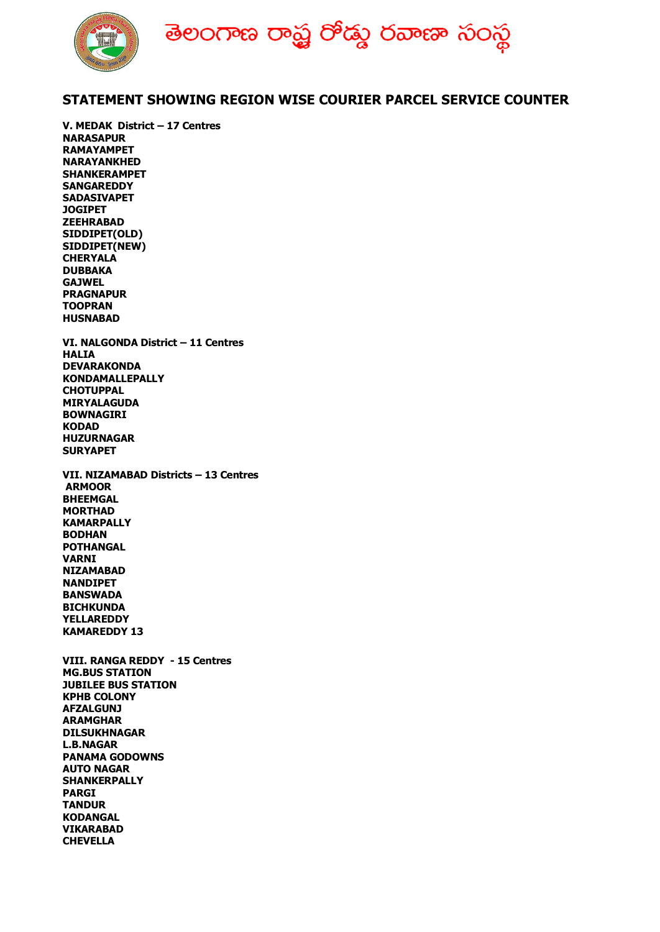

## **STATEMENT SHOWING REGION WISE COURIER PARCEL SERVICE COUNTER**

**V. MEDAK District – 17 Centres NARASAPUR RAMAYAMPET NARAYANKHED SHANKERAMPET SANGAREDDY SADASIVAPET JOGIPET ZEEHRABAD SIDDIPET(OLD) SIDDIPET(NEW) CHERYALA DUBBAKA GAJWEL PRAGNAPUR TOOPRAN HUSNABAD VI. NALGONDA District – 11 Centres HALIA DEVARAKONDA KONDAMALLEPALLY CHOTUPPAL MIRYALAGUDA BOWNAGIRI KODAD HUZURNAGAR SURYAPET VII. NIZAMABAD Districts – 13 Centres ARMOOR BHEEMGAL MORTHAD KAMARPALLY BODHAN POTHANGAL VARNI NIZAMABAD NANDIPET BANSWADA BICHKUNDA YELLAREDDY KAMAREDDY 13 VIII. RANGA REDDY - 15 Centres MG.BUS STATION JUBILEE BUS STATION KPHB COLONY AFZALGUNJ ARAMGHAR DILSUKHNAGAR L.B.NAGAR PANAMA GODOWNS AUTO NAGAR SHANKERPALLY PARGI TANDUR KODANGAL VIKARABAD CHEVELLA**